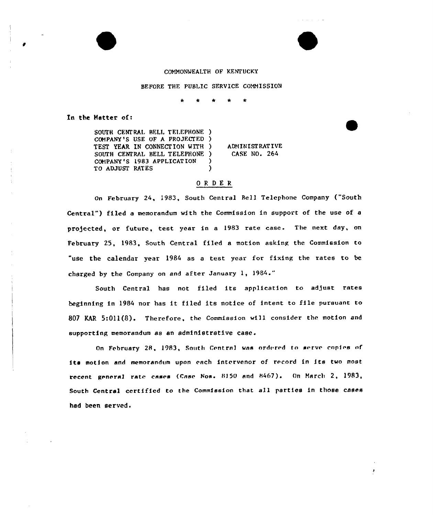## COMMONWEALTH OF KENTUCKY

BEFORE THE PUBLIC SERVICE COMMISSION

 $\bullet$  $\bullet$  $\star$ 

In the Matter of:

SOUTH CENTRAL BELL TELEPHONE ) COMPANY'S USE OF A PROJECTED) TEST YEAR IN CONNECTION MITH SOUTH CENTRAL BELL TELEPHONE ) COMPANY 'S 1983 APPLICATION TO ADJUST RATES ) )

) ADMINISTRATIVE CASE NO. 264

## OR DER

On February 24, 1983, South Central Bell Telephone Company ("South Central") filed a memorandum with the Commission in support of the use of a projected, or future, test year in a 1983 rate case. The next day, on February 25, 1983, South Central filed a motion asking the Commission to "use the calendar year 1984 as a test year for fixing the rates to be charged by the Company on and after January 1, 1984."

South Central has not filed its application to adjust rates beginning in <sup>1984</sup> nor has it filed its notice of intent to file pursuant to 807 WAR 5:011(8). Therefore, the Commission will consider the motion and supporting memorandum as an administrative case.

On February 28, 1983, South Central was ordered to serve copies of its motion and memorandum upon each intervenor of record in its two most recent general rate cases (Case Nos. 8150 and 8467). On March 2, 1983, South Central certified to the Commission that all parties in those cases had been served.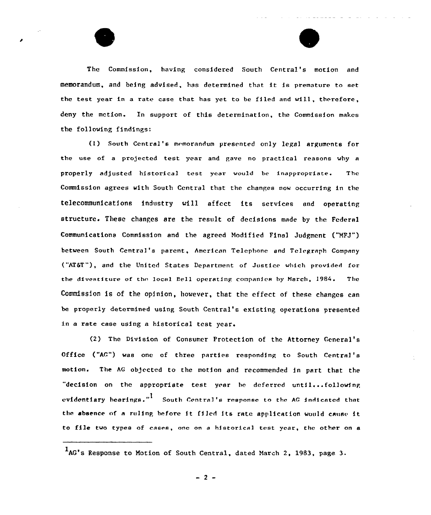

The Commission, having considered South Central's motion and memorandum, and being advised, has determined that it is premature to eet the test year in a rate case that has yet to be filed end will, therefore, deny the mction. En support of this determination, the Commission makes the following findings:

(l) South Ccntrel's memorandum presented only legal arguments for the use of a projected test year and gave no practical reasons why a properly adjusted historical test year would be inappropriate. The Commission agrees with South Central that the changes now occurring in the telecommunications industry will affect its services and operating structure. These changes are the result of decisions made by the Federal Communications Commission and the agreed Modified Final Judgment ("NFJ") between South Central's parent, American Telephone and Tclcgreph Company ("AT&T"), and the United States Department of Justice which provided for the divestiture of the local Bell operating companies by March, 1984. The Commission is of the opinion, however, that the effect of these changes can be properly determined using South Central's existing operations presented in a rate case using a historical test year.

(2) The Division of. Consumer Protection of the Attorney Ceneral's Office ("AC") was one of three parties responding to South Central's motion. The AG objected to the motion and recommended in part that the "decision on the appropriate test year be deferred until...following evidentiary hearings."<sup>I</sup> South Central's response to the AG indicated that the absence of a ruling before it filed its rate application would cause it to file two types of cases, one on a historical test year, the other on a

AG's Response to Notion of South Central, dated March 2, 1983, page 3.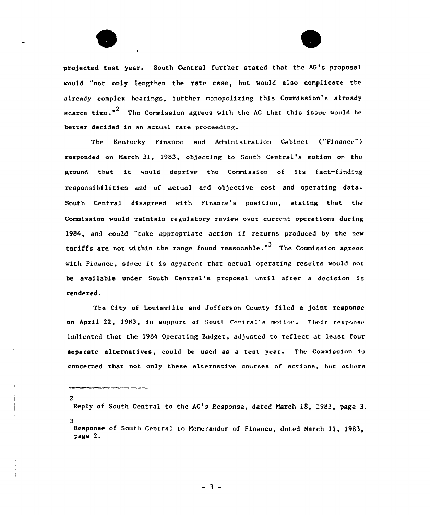

pro)ected test year. South Central further stated that the AG's proposal would "not only lengthen the rete case, but would also complicate the already complex hearings, further monopolizing this Commission's already scarce time."<sup>2</sup> The Commission agrees with the AG that this issue would be better decided in an actual rate proceeding.

The Kentucky Finance and Administration Cabinet ("Finance") responded on March 31, 1983, objecting to South Central's motion on the ground that it would deprive the Commission of its fact-finding responsibilities and of actual and objective cost and operating data. South Central disagreed with Finance's position, stating that the Commission would maintain regulatory review over current operations during 1984, and could "take appropriate action if returns produced by the new tariffs are not within the range found reasonable."<sup>3</sup> The Commission agrees with Finance, since it is apparent that actual operating results would not be available under South Central's proposal until after a decision is rendered.

The City of Louisville and Jefferson County filed a joint response on April 22, 1983, in support of South Central's motion. Their response indicated that the 1984 Operating Budget, adjusted to reflect at least four separate alternatives, could be used as a test year. The Commission is concerned that not only these alternative courses of actions, but others

2

Reply of South Central to the AG's Response, dated March 18, 1983, page 3. 3

Response of South Central to Memorandum of Finance, dated March 11, 1983, page 2.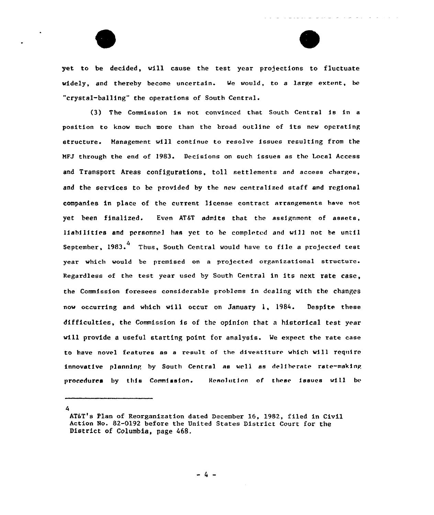

yet to be decided, will cause the test year projections to fluctuate widely, and thereby become uncertain. Me would, to a large extent, be "crystal-balling" the operations of South Central.

(3) The Commission is not convinced that South Central is in <sup>a</sup> position to know much more than the broad outline of its new operating structure. Management will continue to resolve issues resulting from the MFJ through the end of 1983. Decisions on such issues as the Local Access and Transport Areas configurations, toll settlements and access charges, and the services to be provided by the new centralized staff and regional companies in place of the current license contract arrangements have not yet been finalized. Even AT&T admits that the assignment of assets, liabilities and personnel has yet to be compleecd and will not be until September, 1983.<sup>4</sup> Thus, South Central would have to file a projected test year which would be premised on a projected organizational structure. Regardless of the test year used by South Central in its next rate case, ehe Commission foresees considerable problems in dealing with the changes now occurring and which will occur on January 1, 1984. Despite these difficulties, the Commission is of the opinion that a historical test year will provide a useful starting point for analysis. Me expect the rate case to have novel features as a result of the divestiture which will require innovative planning by South Central as well as deliberate rate-making procedures by this Commission. Resolution of these issues wi11 be

AT&T's Plan of Reorganization dated December 16, 1982, filed in Civil Action No. 82-0192 before the United States District Court for the District of Columbia, page 468.